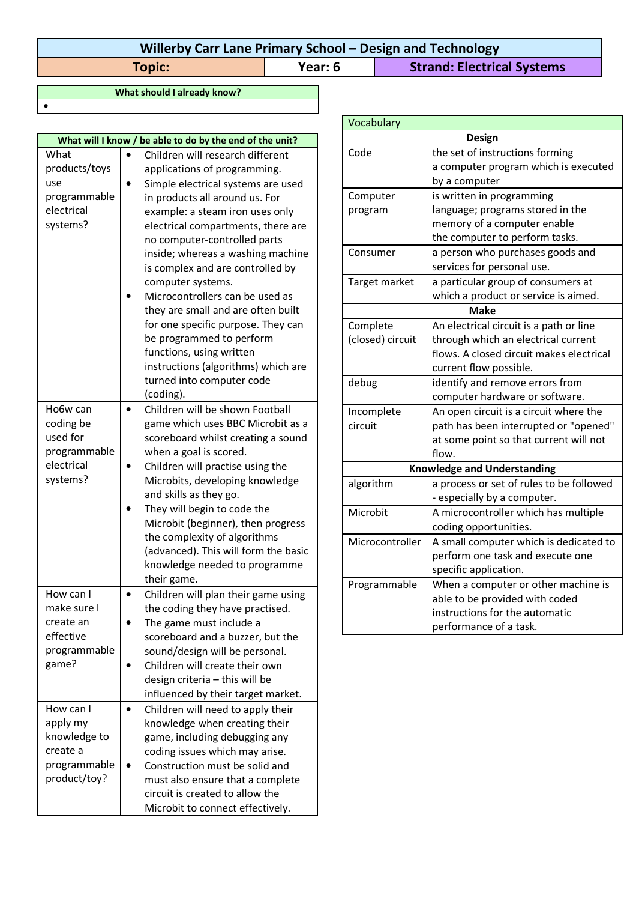## **Willerby Carr Lane Primary School – Design and Technology Topic: Year: 6 Strand: Electrical Systems**

**What should I already know?**

•

| What will I know / be able to do by the end of the unit?                           |                                                                                                                                                                                                                                                                                                                                                                                                                                                                                                                                                                                                                                            |  |
|------------------------------------------------------------------------------------|--------------------------------------------------------------------------------------------------------------------------------------------------------------------------------------------------------------------------------------------------------------------------------------------------------------------------------------------------------------------------------------------------------------------------------------------------------------------------------------------------------------------------------------------------------------------------------------------------------------------------------------------|--|
| What<br>products/toys<br>use<br>programmable<br>electrical<br>systems?<br>Ho6w can | Children will research different<br>applications of programming.<br>Simple electrical systems are used<br>in products all around us. For<br>example: a steam iron uses only<br>electrical compartments, there are<br>no computer-controlled parts<br>inside; whereas a washing machine<br>is complex and are controlled by<br>computer systems.<br>Microcontrollers can be used as<br>they are small and are often built<br>for one specific purpose. They can<br>be programmed to perform<br>functions, using written<br>instructions (algorithms) which are<br>turned into computer code<br>(coding).<br>Children will be shown Football |  |
| coding be<br>used for<br>programmable<br>electrical<br>systems?                    | game which uses BBC Microbit as a<br>scoreboard whilst creating a sound<br>when a goal is scored.<br>Children will practise using the<br>Microbits, developing knowledge<br>and skills as they go.<br>They will begin to code the<br>Microbit (beginner), then progress<br>the complexity of algorithms<br>(advanced). This will form the basic<br>knowledge needed to programme<br>their game.                                                                                                                                                                                                                                            |  |
| How can I<br>make sure I<br>create an<br>effective<br>programmable<br>game?        | Children will plan their game using<br>the coding they have practised.<br>The game must include a<br>scoreboard and a buzzer, but the<br>sound/design will be personal.<br>Children will create their own<br>design criteria - this will be<br>influenced by their target market.                                                                                                                                                                                                                                                                                                                                                          |  |
| How can I<br>apply my<br>knowledge to<br>create a<br>programmable<br>product/toy?  | Children will need to apply their<br>knowledge when creating their<br>game, including debugging any<br>coding issues which may arise.<br>Construction must be solid and<br>must also ensure that a complete<br>circuit is created to allow the<br>Microbit to connect effectively.                                                                                                                                                                                                                                                                                                                                                         |  |

| Vocabulary                         |                                          |
|------------------------------------|------------------------------------------|
|                                    | <b>Design</b>                            |
| Code                               | the set of instructions forming          |
|                                    | a computer program which is executed     |
|                                    | by a computer                            |
| Computer                           | is written in programming                |
| program                            | language; programs stored in the         |
|                                    | memory of a computer enable              |
|                                    | the computer to perform tasks.           |
| Consumer                           | a person who purchases goods and         |
|                                    | services for personal use.               |
| Target market                      | a particular group of consumers at       |
|                                    | which a product or service is aimed.     |
| <b>Make</b>                        |                                          |
| Complete                           | An electrical circuit is a path or line  |
| (closed) circuit                   | through which an electrical current      |
|                                    | flows. A closed circuit makes electrical |
|                                    | current flow possible.                   |
| debug                              | identify and remove errors from          |
|                                    | computer hardware or software.           |
| Incomplete                         | An open circuit is a circuit where the   |
| circuit                            | path has been interrupted or "opened"    |
|                                    | at some point so that current will not   |
|                                    | flow.                                    |
| <b>Knowledge and Understanding</b> |                                          |
| algorithm                          | a process or set of rules to be followed |
|                                    | - especially by a computer.              |
| Microbit                           | A microcontroller which has multiple     |
|                                    | coding opportunities.                    |
| Microcontroller                    | A small computer which is dedicated to   |
|                                    | perform one task and execute one         |
|                                    | specific application.                    |
| Programmable                       | When a computer or other machine is      |
|                                    | able to be provided with coded           |
|                                    | instructions for the automatic           |
|                                    | performance of a task.                   |